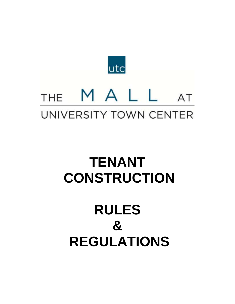

# MALL **THE** AT UNIVERSITY TOWN CENTER

# **TENANT CONSTRUCTION RULES & REGULATIONS**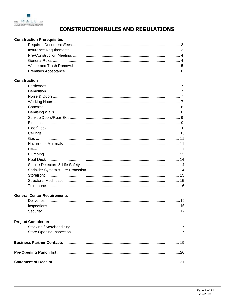

# **Construction Prerequisites**

# **Construction**

# **General Center Requirements**

# **Project Completion**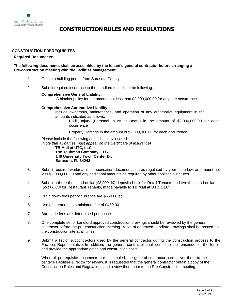

# **CONSTRUCTION PREREQUISITES**

## <span id="page-2-0"></span>**Required Documents:**

# **The following documents shall be assembled by the tenant's general contractor before arranging a Pre-construction meeting with the Facilities Management.**

- 1. Obtain a building permit from Sarasota County.
- 2. Submit required insurance to the Landlord to include the following:

# **Comprehensive General Liability:**

A blanket policy for the amount not less than \$2,000,000.00 for any one occurrence

#### **Comprehensive Automotive Liability:**

Include ownership, maintenance, and operation of any automotive equipment in the amounts indicated as follows:

Bodily Injury (Personal Injury or Death) in the amount of \$2,000,000.00 for each occurrence

Property Damage in the amount of \$2,000,000.00 for each occurrence

Please include the following as additionally insured: *(Note that all names must appear on the Certificate of Insurance)* **TB Mall at UTC, LLC**

**The Taubman Company, LLC 140 University Town Center Dr. Sarasota, FL 34243**

- 3. Submit required workman's compensation documentation as regulated by your state law, an amount not less \$2,000,000.00 and any additional amounts as required by other applicable statutes.
- 4. Submit a three thousand-dollar *(\$3,000.00)* deposit check for Retail Tenants and five thousand-dollar (*\$5,000.00)* for Restaurant Tenants, made payable to **TB Mall at UTC, LLC***.*
- 5. Drain down fees per occurrence are \$550.00 ea.
- 6. Use of a crane has a minimum fee of \$450.00
- 7. Barricade fees are determined per space.
- 8. One complete set of Landlord approved construction drawings should be reviewed by the general contractor before the pre-construction meeting. A set of approved Landlord drawings shall be posted on the construction site at all times.
- 9. Submit a list of subcontractors used by the general contractor during the construction process to the Facilities Representative. In addition, the general contractor shall complete the remainder of the form and provide the appropriate dates and construction costs.

When all prerequisite documents are assembled, the general contractor can deliver them to the center's Facilities Director for review. It is requested that the general contractor obtain a copy of the Construction Rules and Regulations and review them prior to the Pre-Construction meeting.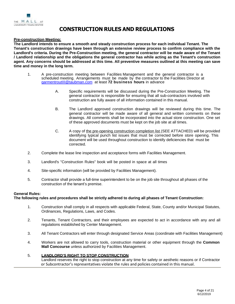

## <span id="page-3-0"></span>**Pre-construction Meeting:**

**The Landlord intends to ensure a smooth and steady construction process for each individual Tenant. The Tenant's construction drawings have been through an extensive review process to confirm compliance with the**  Landlord's criteria. During the Pre-Construction meeting, the general contractor will be made aware of the Tenant / Landlord relationship and the obligations the general contractor has while acting as the Tenant's construction agent. Any concerns should be addressed at this time. All preventive measures outlined at this meeting can save **time and money in the long term.**

- 1. A pre-construction meeting between Facilities Management and the general contractor is a scheduled meeting. Arrangements must be made by the contractor to the Facilities Director at [garmentroutIII@taubman.com](mailto:garmentroutIII@taubman.com) at least **72 business hours** in advance
	- A. Specific requirements will be discussed during the Pre-Construction Meeting. The general contractor is responsible for ensuring that all sub-contractors involved with construction are fully aware of all information contained in this manual.
	- B. The Landlord approved construction drawings will be reviewed during this time. The general contractor will be made aware of all general and written comments on these drawings. All comments shall be incorporated into the actual store construction. One set of these approved documents must be kept on the job site at all times.
	- C. A copy of the pre-opening construction completion list (SEE ATTACHED) will be provided identifying typical punch list issues that must be corrected before store opening. This document will be used throughout construction to identify deficiencies that must be corrected.
- 2. Complete the lease line inspection and acceptance forms with Facilities Management.
- 3. Landlord's "Construction Rules" book will be posted in space at all times
- 4. Site-specific information (will be provided by Facilities Management).
- 5. Contractor shall provide a full-time superintendent to be on the job site throughout all phases of the construction of the tenant's premise.

#### <span id="page-3-1"></span>**General Rules:**

**The following rules and procedures shall be strictly adhered to during all phases of Tenant Construction:**

- 1. Construction shall comply in all respects with applicable Federal, State, County and/or Municipal Statutes, Ordinances, Regulations, Laws, and Codes.
- 2. Tenants, Tenant Contractors, and their employees are expected to act in accordance with any and all regulations established by Center Management.
- 3. All Tenant Contractors will enter through designated Service Areas (coordinate with Facilities Management)
- 4. Workers are not allowed to carry tools, construction material or other equipment through the **Common Mall Concourse** unless authorized by Facilities Management.

# 5. **LANDLORD'S RIGHT TO STOP CONSTRUCTION**

Landlord reserves the right to stop construction at any time for safety or aesthetic reasons or if Contractor or Subcontractor's representatives violate the rules and policies contained in this manual.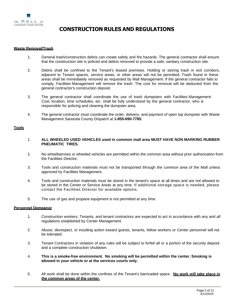

## **Waste Removal/Trash**

- 1. General trash/construction debris can create safety and fire hazards. The general contractor shall ensure that the construction site is policed and debris removed to provide a safe, sanitary construction site.
- 2. Debris shall be confined to the Tenant's leased premises. Holding or storing trash in exit corridors, adjacent to Tenant spaces, service areas, or other areas will not be permitted. Trash found in these areas shall be immediately removed as requested by Mall Management. If the general contractor fails to comply, Facilities Management will remove the trash. The cost for removal will be deducted from the general contractor's construction deposit.
- 3. The general contractor shall coordinate the use of trash dumpsters with Facilities Management. Cost, location, time schedules, etc. shall be fully understood by the general contractor, who is responsible for policing and cleaning the dumpster area.
- 4. The general contractor must coordinate the order, delivery, and payment of open top dumpster with Waste Management Sarasota County Dispatch at **1-855-690-7785.**

## **Tools**

- 1. **ALL WHEELED USED VEHICLES used in common mall area MUST HAVE NON MARKING RUBBER PNEUMATIC TIRES.**
- 2. No wheelbarrows or wheeled vehicles are permitted within the common area without prior authorization from the Facilities Director.
- 3. Tools and construction materials must not be transported through the common area of the Mall unless approved by Facilities Management.
- 4. Tools and construction materials must be stored in the tenant's space at all times and are not allowed to be stored in the Center or Service Areas at any time. If additional storage space is needed, please contact the Facilities Director for available options.
- 5. The use of gas and propane equipment is not permitted at any time.

# **Personnel Demeanor**

- 1. Construction workers, Tenants, and tenant contractors are expected to act in accordance with any and all regulations established by Center Management.
- 2. Abuse, disrespect, or insulting action toward guests, tenants, fellow workers or Center personnel will not be tolerated.
- 3. Tenant Contractors in violation of any rules will be subject to forfeit all or a portion of the security deposit and a complete construction shutdown.
- 4. **This is a smoke-free environment. No smoking will be permitted within the center. Smoking is allowed in your vehicle or at the services courts only.**
- 5. All work shall be done within the confines of the Tenant's barricaded space. **No work will take place in the common areas of the center.**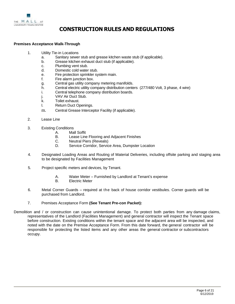

# **Premises Acceptance Walk-Through**

- 1. Utility Tie-in Locations
	- a. Sanitary sewer stub and grease kitchen waste stub (if applicable).
	- b. Grease kitchen exhaust duct stub (if applicable).
	- c. Plumbing vent stub.
	- d. Domestic cold water stub.
	- e. Fire protection sprinkler system main.
	- f. Fire alarm junction box.
	- g. Central gas utility company metering manifolds.
	- h. Central electric utility company distribution centers (277/480 Volt, 3 phase, 4 wire)
	- i. Central telephone company distribution boards.
	- j. VAV Air Duct Stub.
	- k. Toilet exhaust.
	- l. Return Duct Openings.
	- m. Central Grease Interceptor Facility (if applicable).
- 2. Lease Line
- 3. Existing Conditions
	- A. Mall Soffit
	- B. Lease Line Flooring and Adjacent Finishes
	- C. Neutral Piers (Reveals)
	- D. Service Corridor, Service Area, Dumpster Location
- 4. Designated Loading Areas and Routing of Material Deliveries, including offsite parking and staging area to be designated by Facilities Management
- 5. Project specific meters and devices, by Tenant.
	- A. Water Meter Furnished by Landlord at Tenant's expense
	- B. Electric Meter
- 6. Metal Corner Guards required at the back of house corridor vestibules. Corner guards will be purchased from Landlord.
- 7. Premises Acceptance Form **(See Tenant Pre-con Packet):**
- Demolition and / or construction can cause unintentional damage. To protect both parties from any damage claims, representatives of the Landlord (Facilities Management) and general contractor will inspect the Tenant space before construction. Existing conditions within the tenant space and the adjacent area will be inspected, and noted with the date on the Premise Acceptance Form. From this date forward, the general contractor will be responsible for protecting the listed items and any other areas the general contractor or subcontractors occupy.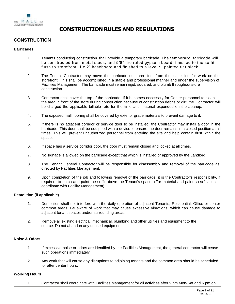

# **CONSTRUCTION**

## <span id="page-6-0"></span>**Barricades**

- 1. Tenants conducting construction shall provide a temporary barricade. The temporary Barricade will be constructed from metal studs, and 5/8" fire rated gypsum board, finished to the soffit, flush to storefront, 1 x 2" baseboard and finished to a level 5, painted flat black.
- 2. The Tenant Contractor may move the barricade out three feet from the lease line for work on the storefront. This shall be accomplished in a stable and professional manner and under the supervision of Facilities Management. The barricade must remain rigid, squared, and plumb throughout store construction.
- 3. Contractor shall cover the top of the barricade. If it becomes necessary for Center personnel to clean the area in front of the store during construction because of construction debris or dirt, the Contractor will be charged the applicable billable rate for the time and material expended on the cleanup.
- 4. The exposed mall flooring shall be covered by exterior grade materials to prevent damage to it.
- 5. If there is no adjacent corridor or service door to be installed, the Contractor may install a door in the barricade. This door shall be equipped with a device to ensure the door remains in a closed position at all times. This will prevent unauthorized personnel from entering the site and help contain dust within the space.
- 6. If space has a service corridor door, the door must remain closed and locked at all times.
- 7. No signage is allowed on the barricade except that which is installed or approved by the Landlord.
- 8. The Tenant General Contractor will be responsible for disassembly and removal of the barricade as directed by Facilities Management.
- 9. Upon completion of the job and following removal of the barricade, it is the Contractor's responsibility, if required, to patch and paint the soffit above the Tenant's space. (For material and paint specificationscoordinate with Facility Management)

## **Demolition (if applicable)**

- 1. Demolition shall not interfere with the daily operation of adjacent Tenants, Residential, Office or center common areas. Be aware of work that may cause excessive vibrations, which can cause damage to adjacent tenant spaces and/or surrounding areas.
- 2. Remove all existing electrical, mechanical, plumbing and other utilities and equipment to the source. Do not abandon any unused equipment.

# <span id="page-6-1"></span>**Noise & Odors**

- 1. If excessive noise or odors are identified by the Facilities Management, the general contractor will cease such operations immediately.
- 2. Any work that will cause any disruptions to adjoining tenants and the common area should be scheduled for after center hours.

## <span id="page-6-2"></span>**Working Hours**

1. Contractor shall coordinate with Facilities Management for all activities after 9 pm Mon-Sat and 6 pm on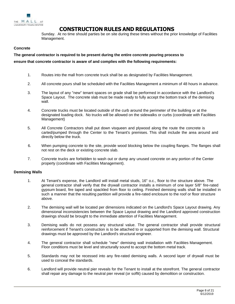

Sunday. At no time should parties be on site during these times without the prior knowledge of Facilities Management.

# **Concrete**

# **The general contractor is required to be present during the entire concrete pouring process to**

# **ensure that concrete contractor is aware of and complies with the following requirements:**

- 1. Routes into the mall from concrete truck shall be as designated by Facilities Management.
- 2. All concrete pours shall be scheduled with the Facilities Management a minimum of 48 hours in advance.
- 3. The layout of any "new" tenant spaces on grade shall be performed in accordance with the Landlord's Space Layout. The concrete slab must be made ready to fully accept the bottom track of the demising wall.
- 4. Concrete trucks must be located outside of the curb around the perimeter of the building or at the designated loading dock. No trucks will be allowed on the sidewalks or curbs (coordinate with Facilities Management)
- 5. All Concrete Contractors shall put down visqueen and plywood along the route the concrete is carted/pumped through the Center to the Tenant's premises. This shall include the area around and directly below the truck.
- 6. When pumping concrete to the site, provide wood blocking below the coupling flanges. The flanges shall not rest on the deck or existing concrete slab.
- 7. Concrete trucks are forbidden to wash out or dump any unused concrete on any portion of the Center property (coordinate with Facilities Management).

## <span id="page-7-0"></span>**Demising Walls**

- 1. At Tenant's expense, the Landlord will install metal studs, 16" o.c., floor to the structure above. The general contractor shall verify that the drywall contractor installs a minimum of one layer 5/8" fire-rated gypsum board, fire taped and spackled from floor to ceiling. Finished demising walls shall be installed in such a manner that the resulting partition will provide a fire-rated enclosure to the roof or floor structure above.
- 2. The demising wall will be located per dimensions indicated on the Landlord's Space Layout drawing. Any dimensional inconsistencies between the Space Layout drawing and the Landlord approved construction drawings should be brought to the immediate attention of Facilities Management.
- 3. Demising walls do not possess any structural value. The general contractor shall provide structural reinforcement if Tenant's construction is to be attached to or supported from the demising wall. Structural drawings must be approved by the Landlord's structural engineer.
- 4. The general contractor shall schedule "new" demising wall installation with Facilities Management. Floor conditions must be level and structurally sound to accept the bottom metal track.
- 5. Standards may not be recessed into any fire-rated demising walls. A second layer of drywall must be used to conceal the standards.
- 6. Landlord will provide neutral pier reveals for the Tenant to install at the storefront. The general contractor shall repair any damage to the neutral pier reveal (or soffit) caused by demolition or construction.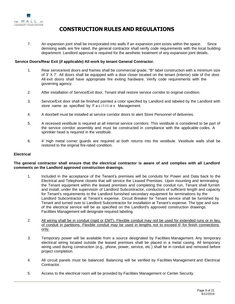

7. An expansion joint shall be incorporated into walls if an expansion joint exists within the space. Since demising walls are fire rated, the general contractor shall verify code requirements with the local building department. Landlord approval is required for the aesthetic treatment of any expansion joint details.

# **Service Doors/Rear Exit (if applicable) All work by tenant General Contractor.**

- 1. Rear service/exit doors and frames shall be commercial grade, "B" label construction with a minimum size of 3' X 7'. All doors shall be equipped with a door closer located on the tenant (interior) side of the door. All exit doors shall have appropriate fire exiting hardware. Verify code requirements with the governing agency.
- 2. After installation of Service/Exit door, Tenant shall restore service corridor to original condition.
- 3. Service/Exit door shall be finished painted a color specified by Landlord and labeled by the Landlord with store name as specified by Facilities Management.
- 4. A doorbell must be installed at service corridor doors to alert Store Personnel of deliveries.
- 5. A recessed vestibule is required at all internal service corridors. This vestibule is considered to be part of the service corridor assembly and must be constructed in compliance with the applicable codes. A sprinkler head is required in the vestibule.
- 6. 4' high metal corner guards are required at both returns into the vestibule. Vestibule walls shall be restored to the original fire-rated condition.

# <span id="page-8-0"></span>**Electrical**

## The general contractor shall ensure that the electrical contractor is aware of and complies with all Landlord **comments on the Landlord approved construction drawings.**

- 1. Included in the acceptance of the Tenant's premises will be conduits for Power and Data back to the Electrical and Telephone closets that will service the Leased Premises. Upon mounting and terminating the Tenant equipment within the leased premises and completing the conduit run, Tenant shall furnish and install, under the supervision of Landlord Subcontractor, conductors of sufficient length and capacity for Tenant's requirements to the Landlord furnished secondary equipment for terminations by the Landlord Subcontractor at Tenant's expense. Circuit Breaker for Tenant service shall be furnished by Tenant and turned over to Landlord Subcontractor for installation at Tenant's expense. The type and size of the electrical service will be as specified on the Landlord's approved construction drawings. Facilities Management will designate required labeling.
- 2. All wiring shall be in conduit (rigid or EMT). Flexible conduit may not be used for extended runs or in lieu of conduit in partitions. Flexible conduit may be used in lengths not to exceed 6' for finish connections only.
- 3. Temporary power will be available from a source designated by Facilities Management. Any temporary electrical wiring located outside the leased premises shall be placed in a metal casing. All temporary wiring used during construction (e.g., phone, power, service, etc.) shall be in conduit and removed before project completion.
- 4. All circuit panels must be balanced. Balancing will be verified by Facilities Management and Electrical Contractor.
- 5. Access to the electrical room will be provided by Facilities Management or Center Security.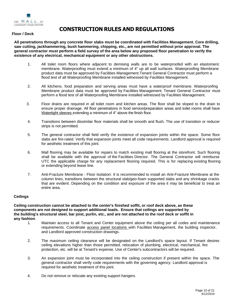

## **Floor / Deck**

**All penetrations through any concrete floor slabs must be coordinated with Facilities Management. Core drilling, saw cutting, jackhammering, bush hammering, chipping, etc., are not permitted without prior approval. The general contractor must perform a field survey of the area below any proposed floor penetration to verify the existence of any electrical, mechanical equipment or any other obstructions.**

- 1. All toilet room floors where adjacent to demising walls are to be waterproofed with an elastomeric membrane. Waterproofing must extend a minimum of 4" up all wall surfaces. Waterproofing Membrane product data must be approved by Facilities Management.Tenant General Contractor must perform a flood test of all Waterproofing Membrane installed witnessed by Facilities Management.
- 2. All kitchens, food preparation and serving areas must have a waterproof membrane. Waterproofing Membrane product data must be approved by Facilities Management. Tenant General Contractor must perform a flood test of all Waterproofing Membrane installed witnessed by Facilities Management.
- 3. Floor drains are required in all toilet room and kitchen areas. The floor shall be sloped to the drain to ensure proper drainage. All floor penetrations in food service/preparation areas and toilet rooms shall have Watertight sleeves extending a minimum of 4" above the finish floor.
- 4. Transitions between dissimilar floor materials shall be smooth and flush. The use of transition or reducer strips is not permitted.
- 5. The general contractor shall field verify the existence of expansion joints within the space. Some floor slabs are fire-rated. Verify that expansion joints meet all code requirements. Landlord approval is required for aesthetic treatment of this joint.
- 6. Mall flooring may be available for repairs to match existing mall flooring at the storefront. Such flooring shall be available with the approval of the Facilities Director. The General Contractor will reimburse UTC the applicable charge for any replacement flooring required. This is for replacing existing flooring or extending beyond lease line.
- 7. Anti-Fracture Membrane Floor Isolation: It is recommended to install an Anti-Fracture Membrane at the column lines, transitions between the structural slab/geo-foam supported slabs and any shrinkage cracks that are evident. Depending on the condition and exposure of the area it may be beneficial to treat an entire area.

## <span id="page-9-0"></span>**Ceilings**

**Ceiling construction cannot be attached to the center's finished soffit, or roof deck above, as these components are not designed to support additional loads. Ensure that ceilings are supported by** the building's structural steel, bar joist, purlin, etc., and are not attached to the roof deck or soffit in **any fashion**.

- 1. Maintain access to all Tenant and Center equipment above the ceiling per all codes and maintenance requirements. Coordinate access panel locations with Facilities Management, the building inspector, and Landlord approved construction drawings.
- 2. The maximum ceiling clearance will be designated on the Landlord's space layout. If Tenant desires ceiling elevations higher than those permitted, relocation of plumbing, electrical, mechanical, fire protection, etc. will be at Tenant's expense. Use of Center's subcontractors will be required.
- 3. An expansion joint must be incorporated into the ceiling construction if present within the space. The general contractor shall verify code requirements with the governing agency. Landlord approval is required for aesthetic treatment of this joint.
- 4. Do not remove or relocate any existing support hangers.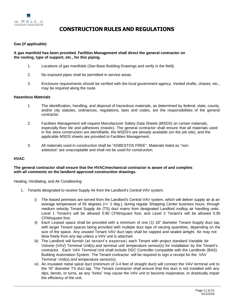

# **Gas (if applicable)**

# **A gas manifold has been provided. Facilities Management shall direct the general contractor on the routing, type of support, etc., for this piping.**

- 1. Locations of gas manifolds (See Base Building Drawings and verify in the field).
- 2. No exposed pipes shall be permitted in service areas.
- 3. Enclosure requirements should be verified with the local government agency. Vented shafts, chases, etc., may be required along the route.

# <span id="page-10-0"></span>**Hazardous Materials**

- 1. The identification, handling, and disposal of hazardous materials, as determined by federal, state, county, and/or city statutes, ordinances, regulations, laws and codes, are the responsibilities of the general contractor.
- 2. Facilities Management will request Manufacturer Safety Data Sheets (MSDS) on certain materials, especially floor tile and adhesives (mastic). The general contractor shall ensure that all materials used in the store construction are identifiable, the MSDS's are already available (on the job site), and the applicable MSDS sheets are provided to Facilities Management.
- 3. All materials used in construction shall be "ASBESTOS FREE". Materials listed as "nonasbestos" are unacceptable and shall not be used for construction.

# <span id="page-10-1"></span>**HVAC**

# **The general contractor shall ensure that the HVAC/mechanical contractor is aware of and complies with all comments on the landlord approved construction drawings.**

Heating, Ventilating, and Air Conditioning:

- 1. Tenants designated to receive Supply Air from the Landlord's Central VAV system.
	- i) The leased premises are served from the Landlord's Central VAV system, which will deliver supply air at an average temperature of 55 degrees (+/- 2 deg.), during regular Shopping Center business hours, through medium velocity Tenant Supply Air (TS) duct mains from designated Landlord rooftop air handling units. Level 1 Tenant's will be allowed 0.90 CFM/square foot, and Level 2 Tenant's will be allowed 0.95 CFM/square foot.
	- ii) Each Leased space shall be provided with a minimum of one (1) 16" diameter Tenant Supply duct tap, with larger Tenant spaces being provided with multiple duct taps of varying quantities, depending on the size of the space. Any unused Tenant VAV duct taps shall be capped and sealed airtight. Air may not blow freely from any tap unless a VAV unit is attached.
	- iii) The Landlord will furnish (at tenant's expense) each Tenant with project standard Variable Air Volume (VAV) Terminal Unit(s) and terminal unit temperature sensor(s) for installation by the Tenant's contractor. Each VAV Terminal Unit shall include DDC Controller compatible with the Landlords (BAS) Building Automation System. The Tenant contractor will be required to sign a receipt for the VAV Terminal Unit(s) and temperature sensor(s).
	- iv) An insulated metal spiral duct (minimum of 3-4 feet of straight duct) will connect the VAV terminal unit to the 16" diameter TS duct tap. The Tenant contractor shall ensure that this duct is not installed with any dips, bends, or turns, as any "kinks" may cause the VAV unit to become inoperative, or drastically impair the efficiency of the unit.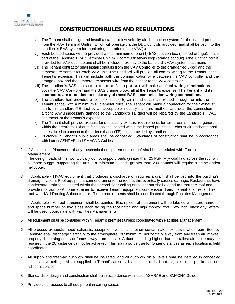

- v) The Tenant shall design and install a standard low-velocity air distribution system for the leased premises from the VAV Terminal Unit(s), which will operate via the DDC controls provided, and shall be tied into the Landlord's BAS system for monitoring operation of the VAV(s).
- vi) Each Leased space will be provided with a minimum of one (1) BAS junction box (colored orange), that is part of the Landlord's VAV Terminal Unit BAS communications loop (orange conduit). One junction box is provided for VAV duct tap and shall be in close proximity to the Landlord's VAV system duct main.
- vii) The Tenant contractor shall install conduits from the VAV Controller to the orange/red J-box and the temperature sensor for each VAV unit. The Landlord will provide all control wiring to the Tenant, at the Tenant's expense. This will include both the communication wire between the VAV controller and the orange J-box and the temperature sensor wire from the sensor to the VAV controller.
- viii) The Landlord's BAS contractor (at tenant's expense) will make **all final wiring terminations** at both the VAV Controller and the BAS orange J-box, all at the Tenant's expense. **The Tenant and its contractor, are at no time to make any of these BAS communication wiring connections.**
- ix) The Landlord has provided a toilet exhaust (TE) air round duct main routed through, or into the Tenant space, with a minimum 6" diameter duct. The Tenant will make a connection for their exhaust fan to this Landlord TE duct by an acceptable industry standard method, and seal the connection airtight. Any unnecessary damage to the Landlord's TE duct will be repaired by the Landlord's HVAC contractor at the Tenant's expense.
- x) The Tenant shall provide exhaust fans to satisfy exhaust requirements for toilet rooms or odors generated within the premises. Exhaust fans shall be located within the leased premises. Exhaust air discharge shall be restricted to connect to the toilet exhaust (TE) ducts provided by Landlord.
- xi) Ductwork in Tenant's public areas shall be concealed. Standards of construction shall be in accordance with Latest ASHRAE and SMACNA Guides.
- 2. If Applicable Placement of any mechanical equipment on the roof shall be scheduled with Facilities Management.

The design loads of the roof typically do not support loads greater than 25 PSF. Plywood laid across the roof with a "moon buggy" supporting the unit is a minimum. Loads greater than 200 pounds will require a crane and/or helicopter.

- 3. If Applicable HVAC equipment that produces a discharge or requires a drain shall be tied into the building's drainage system. Roof equipment cannot drain onto the roof as this eventually causes damage. Restaurants have condensate drain taps located within the second-floor ceiling area. Tenant shall extend tap thru the roof and provide roof sump w/ dome strainer to receive Tenant equipment condensate drain. Tenant shall repair the roof with Mall Roofing Subcontractor. Tie-in requirements shall be coordinated through Facilities Management.
- 4. If Applicable All roof equipment shall be painted. Each piece of equipment will be labeled with store name and space number on two sides each facing the roof hatch and high monitor roof. Two inch, black vinyl letters will be used (coordinate with Facilities Management)
- 5. All equipment shall be contained within Tenant's premises unless coordinated with Facilities Management.
- 6. All process exhausts, hood exhausts, equipment vents, and other contaminated exhausts when permitted by Landlord shall discharge vertically to the atmosphere, 20' minimum, horizontally away from any fresh air intakes, properly dispersing odors or fumes away from the site. A duct extending higher than the tallest air intake may be required if the 20' distance cannot be achieved. This may also be true for longer distances as each location is field coordinated.
- 7. All supply and fresh-air ductwork shall be insulated, and all ductwork on all levels shall be installed in concealed space above ceilings. All air supplied to Tenant's area by its equipment shall not migrate to the public mall or adjacent spaces.
- 8. Standards of design and construction shall be in accordance with latest ASHRAE and SMACNA Guides.
- 9. Provide clear access to all equipment in ceiling space.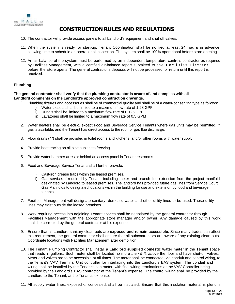

- 10. The contractor will provide access panels to all Landlord's equipment and shut off valves.
- 11. When the system is ready for start-up, Tenant Coordination shall be notified at least **24 hours** in advance, allowing time to schedule an operational inspection. The system shall be 100% operational before store opening.
- 12. An air-balance of the system must be performed by an independent temperature controls contractor as required by Facilities Management, with a certified air-balance report submitted to the Facilities Director before the store opens. The general contractor's deposits will not be processed for return until this report is received.

# <span id="page-12-0"></span>**Plumbing**

# **The general contractor shall verify that the plumbing contractor is aware of and complies with all Landlord comments on the Landlord's approved construction drawings.**

- 1. Plumbing fixtures and accessories shall be of commercial quality and shall be of a water-conserving type as follows:
	- i) Water closets shall be limited to a maximum flow rate of 1.28 GPF.
	- ii) Urinals shall be limited to a maximum flow rate of 0.125 GPF.
	- iii) Lavatories shall be limited to a maximum flow rate of 0.5 GPM
- 2. Water heaters shall be electric, except Food and Beverage Service Tenants where gas units may be permitted, if gas is available, and the Tenant has direct access to the roof for gas flue discharge.
- 3. Floor drains (4") shall be provided in toilet rooms and kitchens, and/or other rooms with water supply.
- 4. Provide heat tracing on all pipe subject to freezing
- 5. Provide water hammer arrestor behind an access panel in Tenant restrooms
- 6. Food and Beverage Service Tenants shall further provide:
	- i) Cast-iron grease traps within the leased premises.
	- ii) Gas service, if required by Tenant, including meter and branch line extension from the project manifold designated by Landlord to leased premises. The landlord has provided future gas lines from Service Court Gas Manifolds to designated locations within the building for use and extension by food and beverage tenants.
- 7. Facilities Management will designate sanitary, domestic water and other utility lines to be used. These utility lines may exist outside the leased premises.
- 8. Work requiring access into adjoining Tenant spaces shall be negotiated by the general contractor through Facilities Management with the appropriate store manager and/or owner. Any damage caused by this work shall be corrected by the general contractor at his expense.
- 9. Ensure that all Landlord sanitary clean outs are **exposed and remain accessible**. Since many trades can affect this requirement, the general contractor shall ensure that all subcontractors are aware of any existing clean outs. Coordinate locations with Facilities Management after demolition.
- 10. The Tenant Plumbing Contractor shall install a **Landlord supplied domestic water meter** in the Tenant space that reads in gallons. Such meter shall be located no more *than 5 ft. above* the floor and have shut-off valves. Meter and valves are to be accessible at all times. The meter shall be connected, via conduit and control wiring, to the Tenant's VAV Terminal Unit controller for interfacing into the Landlord's BAS system. The conduit and wiring shall be installed by the Tenant's contractor, with final wiring terminations at the VAV Controller being provided by the Landlord's BAS contractor at the Tenant's expense. The control wiring shall be provided by the Landlord to the Tenant, at the Tenant's expense.
- 11. All supply water lines, exposed or concealed, shall be insulated. Ensure that this insulation material is plenum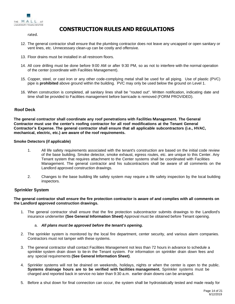

rated.

- 12. The general contractor shall ensure that the plumbing contractor does not leave any uncapped or open sanitary or vent lines, etc. Unnecessary clean-up can be costly and offensive.
- 13. Floor drains must be installed in all restroom floors.
- 14. All core drilling must be done before 9:00 AM or after 9:30 PM, so as not to interfere with the normal operation of the center (coordinate with Facilities Management).
- 15. Copper, steel, or cast iron or any other code-complying metal shall be used for all piping. Use of plastic (PVC) pipe is **prohibited** above ground within the building. PVC may only be used below the ground on Level 1.
- 16. When construction is completed, all sanitary lines shall be "routed out". Written notification, indicating date and time shall be provided to Facilities management before barricade is removed (FORM PROVIDED).

# **Roof Deck**

**The general contractor shall coordinate any roof penetrations with Facilities Management. The General Contractor must use the center's roofing contractor for all roof modifications at the Tenant General Contractor's Expense. The general contractor shall ensure that all applicable subcontractors (i.e., HVAC, mechanical, electric, etc.) are aware of the roof requirements.**

#### **Smoke Detectors (if applicable)**

- 1. All life safety requirements associated with the tenant's construction are based on the initial code review of the base building. Smoke detector, smoke exhaust, egress routes, etc. are unique to this Center. Any Tenant system that requires attachment to the Center systems shall be coordinated with Facilities Management. The general contractor and his subcontractors shall be aware of all comments on the Landlord approved construction drawings.
- 2. Changes to the base building life safety system may require a life safety inspection by the local building inspectors.

# **Sprinkler System**

## The general contractor shall ensure the fire protection contractor is aware of and complies with all comments on **the Landlord approved construction drawings.**

1. The general contractor shall ensure that the fire protection subcontractor submits drawings to the Landlord's insurance underwriter **(See General Information Sheet)** Approval must be obtained before Tenant opening.

## a. *All plans must be approved before the tenant's opening.*

- 2. The sprinkler system is monitored by the local fire department, center security, and various alarm companies. Contractors must not tamper with these systems.
- 3. The general contractor shall contact Facilities Management not less than 72 hours in advance to schedule a sprinkler system drain down to tie-in the Tenant system. For information on sprinkler drain down fees and any special requirements **(See General Information Sheet)**.
- 4. Sprinkler systems will not be drained on weekends, holidays, nights or when the center is open to the public. **Systems drainage hours are to be verified with facilities management.** Sprinkler systems must be charged and reported back in service no later than 9:30 a.m. earlier drain downs can be arranged.
- 5. Before a shut down for final connection can occur, the system shall be hydrostatically tested and made ready for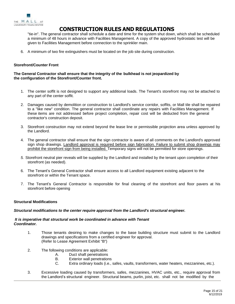

"tie-in". The general contractor shall schedule a date and time for the system shut down, which shall be scheduled a minimum of 48 hours in advance with Facilities Management. A copy of the approved hydrostatic test will be given to Facilities Management before connection to the sprinkler main.

6. A minimum of two fire extinguishers must be located on the job site during construction.

# **Storefront/Counter Front**

# **The General Contractor shall ensure that the integrity of the bulkhead is not jeopardized by the configuration of the Storefront/Counter front.**

- 1. The center soffit is not designed to support any additional loads. The Tenant's storefront may not be attached to any part of the center soffit.
- 2. Damages caused by demolition or construction to Landlord's service corridor, soffits, or Mall tile shall be repaired to a "like new" condition. The general contractor shall coordinate any repairs with Facilities Management. If these items are not addressed before project completion, repair cost will be deducted from the general contractor's construction deposit.
- 3. Storefront construction may not extend beyond the lease line or permissible projection area unless approved by the Landlord.
- 4. The general contractor shall ensure that the sign contractor is aware of all comments on the Landlord's approved sign shop drawings. Landlord approval is required before sign fabrication. Failure to submit shop drawings may prohibit the storefront sign from being installed. Temporary signs will not be permitted for store openings.
- *5.* Storefront neutral pier reveals will be supplied by the Landlord and installed by the tenant upon completion of their storefront (as needed).
- 6. The Tenant's General Contractor shall ensure access to all Landlord equipment existing adjacent to the storefront or within the Tenant space.
- 7. The Tenant's General Contractor is responsible for final cleaning of the storefront and floor pavers at his storefront before opening

## **Structural Modifications**

## *Structural modifications to the center require approval from the Landlord's structural engineer.*

## *It is imperative that structural work be coordinated in advance with Tenant Coordinator.*

- 1. Those tenants desiring to make changes to the base building structure must submit to the Landlord drawings and specifications from a certified engineer for approval. (Refer to Lease Agreement Exhibit "B")
- 2. The following conditions are applicable:
	- A. Duct shaft penetrations
	- B. Exterior wall penetrations
	- C. Extra ordinary loads (i.e., safes, vaults, transformers, water heaters, mezzanines, etc.).
- 3. Excessive loading caused by transformers, safes, mezzanines, HVAC units, etc., require approval from the Landlord's structural engineer. Structural beams, purlin, joist, etc. shall not be modified by the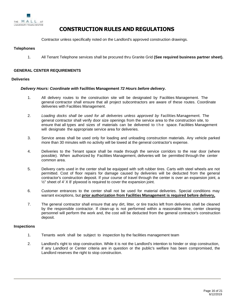

Contractor unless specifically noted on the Landlord's approved construction drawings.

## **Telephones**

1. All Tenant Telephone services shall be procured thru Granite Grid **(See required business partner sheet).**

## <span id="page-15-0"></span>**GENERAL CENTER REQUIREMENTS**

#### <span id="page-15-1"></span>**Deliveries**

## *Delivery Hours: Coordinate with* **Facilities Management** *72 Hours before delivery.*

- 1. All delivery routes to the construction site will be designated by Facilities Management. The general contractor shall ensure that all project subcontractors are aware of these routes. Coordinate deliveries with Facilities Management.
- 2. *Loading docks shall be used for all deliveries unless approved by* Facilities Management*.* The general contractor shall verify door size openings from the service area to the construction site, to ensure that all types and sizes of materials can be delivered to the space. Facilities Management will designate the appropriate service area for deliveries.
- 3. Service areas shall be used only for loading and unloading construction materials. Any vehicle parked more than 30 minutes with no activity will be towed at the general contractor's expense.
- 4. Deliveries to the Tenant space shall be made through the service corridors to the rear door (where possible). When authorized by Facilities Management, deliveries will be permitted through the center common area.
- 5. Delivery carts used in the center shall be equipped with soft rubber tires. Carts with steel wheels are not permitted. Cost of floor repairs for damage caused by deliveries will be deducted from the general contractor's construction deposit. If your course of travel through the center is over an expansion joint, a  $\frac{1}{2}$ " sheet of 4' X 8' plywood is required to cover the expansion joint.
- 6. Customer entrances to the center shall not be used for material deliveries. Special conditions may warrant exceptions, but **prior authorization from Facilities Management is required before delivery.**
- 7. The general contractor shall ensure that any dirt, litter, or tire tracks left from deliveries shall be cleaned by the responsible contractor. If clean-up is not performed within a reasonable time, center cleaning personnel will perform the work and, the cost will be deducted from the general contractor's construction deposit.

## <span id="page-15-2"></span>**Inspections**

- 1. Tenants work shall be subject to inspection by the facilities management team
- 2. Landlord's right to stop construction. While it is not the Landlord's intention to hinder or stop construction, if any Landlord or Center criteria are in question or the public's welfare has been compromised, the Landlord reserves the right to stop construction.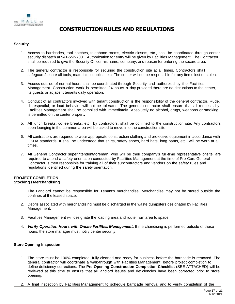

# <span id="page-16-0"></span>**Security**

- 1. Access to barricades, roof hatches, telephone rooms, electric closets, etc., shall be coordinated through center security dispatch at 941-552-7001. Authorization for entry will be given by Facilities Management. The Contractor shall be required to give the Security Officer his name, company, and reason for entering the secure area.
- 2. The general contractor is responsible for securing the construction site at all times. Contractors shall safeguard/secure all tools, materials, supplies, etc. The center will not be responsible for any items lost or stolen.
- 3. Access outside of normal hours shall be coordinated through Security and authorized by the Facilities Management. Construction work is permitted 24 hours a day provided there are no disruptions to the center, its guests or adjacent tenants daily operation.
- 4. Conduct of all contractors involved with tenant construction is the responsibility of the general contractor. Rude, disrespectful, or loud behavior will not be tolerated. The general contractor shall ensure that all requests by Facilities Management shall be complied with immediately. Absolutely no alcohol, drugs, weapons or smoking is permitted on the center property.
- 5. All lunch breaks, coffee breaks, etc., by contractors, shall be confined to the construction site. Any contractors seen lounging in the common area will be asked to move into the construction site.
- 6. All contractors are required to wear appropriate construction clothing and protective equipment in accordance with OSHA standards. It shall be understood that shirts, safety shoes, hard hats, long pants, etc., will be worn at all times.
- 7. All General Contractor superintendent/foreman, who will be their company's full-time representative onsite, are required to attend a safety orientation conducted by Facilities Management at the time of Pre-Con. General Contractor is then responsible for training all of their subcontractors and vendors on the safety rules and regulations identified during the safety orientation.

#### <span id="page-16-2"></span><span id="page-16-1"></span>**PROJECT COMPLETION Stocking / Merchandising**

- 1. The Landlord cannot be responsible for Tenant's merchandise. Merchandise may not be stored outside the confines of the leased space.
- 2. Debris associated with merchandising must be discharged in the waste dumpsters designated by Facilities Management.
- 3. Facilities Management will designate the loading area and route from area to space.
- 4. *Verify Operation Hours with Onsite Facilities Management.* If merchandising is performed outside of these hours, the store manager must notify center security.

# **Store Opening Inspection**

- 1. The store must be 100% completed, fully cleaned and ready for business before the barricade is removed. The general contractor will coordinate a walk-through with Facilities Management, before project completion to define deficiency corrections. The **Pre-Opening Construction Completion Checklist** (SEE ATTACHED) will be reviewed at this time to ensure that all landlord issues and deficiencies have been corrected prior to store opening.
- 2. A final inspection by Facilities Management to schedule barricade removal and to verify completion of the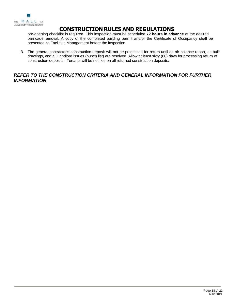

pre-opening checklist is required. This inspection must be scheduled **72 hours in advance** of the desired barricade removal. A copy of the completed building permit and/or the Certificate of Occupancy shall be presented to Facilities Management before the inspection.

3. The general contractor's construction deposit will not be processed for return until an air balance report, as-built drawings, and all Landlord issues (punch list) are resolved. Allow at least sixty (60) days for processing return of construction deposits. Tenants will be notified on all returned construction deposits.

# *REFER TO THE CONSTRUCTION CRITERIA AND GENERAL INFORMATION FOR FURTHER INFORMATION*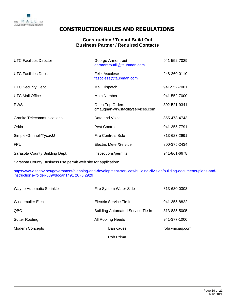

# **Construction / Tenant Build Out Business Partner / Required Contacts**

| <b>UTC Facilities Director</b>    | George Armentrout<br>garmentroutiii@taubman.com     | 941-552-7029 |
|-----------------------------------|-----------------------------------------------------|--------------|
| <b>UTC Facilities Dept.</b>       | Felix Ascolese<br>fascolese@taubman.com             | 248-260-0110 |
| <b>UTC Security Dept.</b>         | Mall Dispatch                                       | 941-552-7001 |
| <b>UTC Mall Office</b>            | Main Number                                         | 941-552-7000 |
| <b>RWS</b>                        | Open Top Orders<br>cmaughan@rwsfacilityservices.com | 302-521-9341 |
| <b>Granite Telecommunications</b> | Data and Voice                                      | 855-478-4743 |
| Orkin                             | Pest Control                                        | 941-355-7791 |
| SimplexGrinnell/Tyco/JJ           | <b>Fire Controls Side</b>                           | 813-623-2991 |
| <b>FPL</b>                        | Electric Meter/Service                              | 800-375-2434 |
| Sarasota County Building Dept.    | Inspections/permits                                 | 941-861-6678 |

Sarasota County Business use permit web site for application:

[https://www.scgov.net/government/planning-and-development-services/building-division/building-documents-plans-and](https://www.scgov.net/government/planning-and-development-services/building-division/building-documents-plans-and-instructions/-folder-539#docan1491 2675)[instructions/-folder-539#docan1491 2675](https://www.scgov.net/government/planning-and-development-services/building-division/building-documents-plans-and-instructions/-folder-539#docan1491 2675) 2929

| Wayne Automatic Sprinkler | Fire System Water Side            | 813-630-0303  |
|---------------------------|-----------------------------------|---------------|
| Windemuller Elec          | Electric Service Tie In           | 941-355-8822  |
| QBC                       | Building Automated Service Tie In | 813-885-5005  |
| <b>Sutter Roofing</b>     | All Roofing Needs                 | 941-377-1000  |
| <b>Modern Concepts</b>    | <b>Barricades</b>                 | rob@mciaq.com |
|                           | Rob Prima                         |               |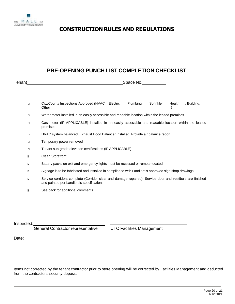

# **PRE-OPENING PUNCH LIST COMPLETION CHECKLIST**

| Tenant | Space No.                                                                                                                                             |
|--------|-------------------------------------------------------------------------------------------------------------------------------------------------------|
|        |                                                                                                                                                       |
| $\Box$ | City/County Inspections Approved (HVAC_, Electric _, Plumbing _, Sprinkler_ Health _, Building,                                                       |
| $\Box$ | Water meter installed in an easily accessible and readable location within the leased premises                                                        |
| $\Box$ | Gas meter (IF APPLICABLE) installed in an easily accessible and readable location within the leased<br>premises                                       |
| $\Box$ | HVAC system balanced, Exhaust Hood Balancer Installed, Provide air balance report                                                                     |
| $\Box$ | Temporary power removed                                                                                                                               |
| $\Box$ | Tenant sub-grade elevation certifications (IF APPLICABLE)                                                                                             |
| ₽      | <b>Clean Storefront</b>                                                                                                                               |
| ₽      | Battery packs on exit and emergency lights must be recessed or remote-located                                                                         |
| ₽      | Signage is to be fabricated and installed in compliance with Landlord's approved sign shop drawings                                                   |
| ₽      | Service corridors complete (Corridor clear and damage repaired). Service door and vestibule are finished<br>and painted per Landlord's specifications |
| ₽      | See back for additional comments.                                                                                                                     |

Inspected:

General Contractor representative UTC Facilities Management

Date:

Items not corrected by the tenant contractor prior to store opening will be corrected by Facilities Management and deducted from the contractor's security deposit.